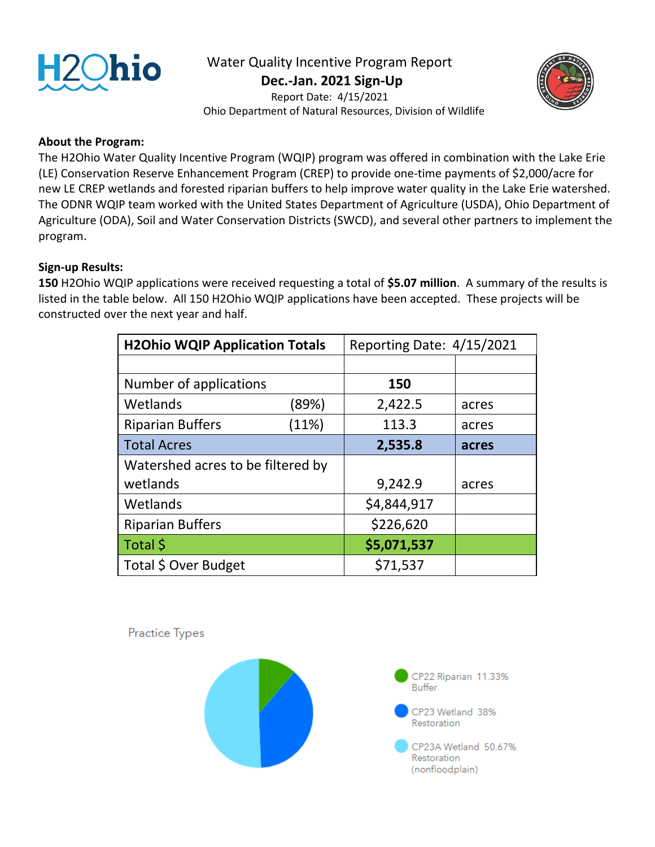

## Water Quality Incentive Program Report

 **Dec.-Jan. 2021 Sign-Up**



 Report Date: 4/15/2021 Ohio Department of Natural Resources, Division of Wildlife

## **About the Program:**

The H2Ohio Water Quality Incentive Program (WQIP) program was offered in combination with the Lake Erie (LE) Conservation Reserve Enhancement Program (CREP) to provide one-time payments of \$2,000/acre for new LE CREP wetlands and forested riparian buffers to help improve water quality in the Lake Erie watershed. The ODNR WQIP team worked with the United States Department of Agriculture (USDA), Ohio Department of Agriculture (ODA), Soil and Water Conservation Districts (SWCD), and several other partners to implement the program.

## **Sign-up Results:**

**150** H2Ohio WQIP applications were received requesting a total of **\$5.07 million**. A summary of the results is listed in the table below. All 150 H2Ohio WQIP applications have been accepted. These projects will be constructed over the next year and half.

| <b>H2Ohio WQIP Application Totals</b> |       | Reporting Date: 4/15/2021 |       |
|---------------------------------------|-------|---------------------------|-------|
|                                       |       |                           |       |
| Number of applications                |       | 150                       |       |
| Wetlands                              | (89%) | 2,422.5                   | acres |
| <b>Riparian Buffers</b>               | (11%) | 113.3                     | acres |
| <b>Total Acres</b>                    |       | 2,535.8                   | acres |
| Watershed acres to be filtered by     |       |                           |       |
| wetlands                              |       | 9,242.9                   | acres |
| Wetlands                              |       | \$4,844,917               |       |
| <b>Riparian Buffers</b>               |       | \$226,620                 |       |
| Total \$                              |       | \$5,071,537               |       |
| Total \$ Over Budget                  |       | \$71,537                  |       |

Practice Types